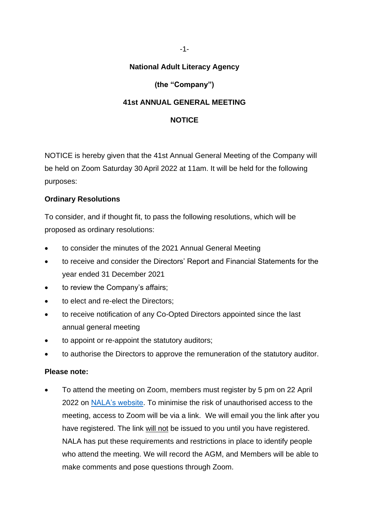-1-

## **National Adult Literacy Agency**

# **(the "Company")**

## **41st ANNUAL GENERAL MEETING**

#### **NOTICE**

NOTICE is hereby given that the 41st Annual General Meeting of the Company will be held on Zoom Saturday 30 April 2022 at 11am. It will be held for the following purposes:

## **Ordinary Resolutions**

To consider, and if thought fit, to pass the following resolutions, which will be proposed as ordinary resolutions:

- to consider the minutes of the 2021 Annual General Meeting
- to receive and consider the Directors' Report and Financial Statements for the year ended 31 December 2021
- to review the Company's affairs;
- to elect and re-elect the Directors;
- to receive notification of any Co-Opted Directors appointed since the last annual general meeting
- to appoint or re-appoint the statutory auditors;
- to authorise the Directors to approve the remuneration of the statutory auditor.

#### **Please note:**

 To attend the meeting on Zoom, members must register by 5 pm on 22 April 2022 on [NALA's website.](https://www.nala.ie/agm-2022-register/) To minimise the risk of unauthorised access to the meeting, access to Zoom will be via a link. We will email you the link after you have registered. The link will not be issued to you until you have registered. NALA has put these requirements and restrictions in place to identify people who attend the meeting. We will record the AGM, and Members will be able to make comments and pose questions through Zoom.